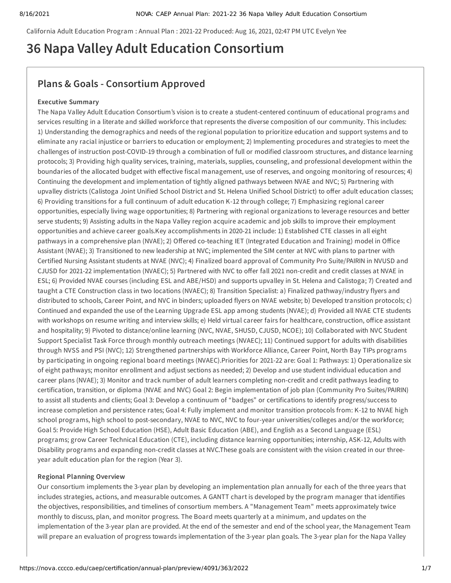California Adult Education Program : Annual Plan : 2021-22 Produced: Aug 16, 2021, 02:47 PM UTC Evelyn Yee

# **36 Napa Valley Adult Education Consortium**

# **Plans & Goals - Consortium Approved**

# **Executive Summary**

The Napa Valley Adult Education Consortium's vision is to create a student-centered continuum of educational programs and services resulting in a literate and skilled workforce that represents the diverse composition of our community. This includes: 1) Understanding the demographics and needs of the regional population to prioritize education and support systems and to eliminate any racial injustice or barriers to education or employment; 2) Implementing procedures and strategies to meet the challenges of instruction post-COVID-19 through a combination of full or modified classroom structures, and distance learning protocols; 3) Providing high quality services, training, materials, supplies, counseling, and professional development within the boundaries of the allocated budget with effective fiscal management, use of reserves, and ongoing monitoring of resources; 4) Continuing the development and implementation of tightly aligned pathways between NVAE and NVC; 5) Partnering with upvalley districts (Calistoga Joint Unified School District and St. Helena Unified School District) to offer adult education classes; 6) Providing transitions for a full continuum of adult education K-12 through college; 7) Emphasizing regional career opportunities, especially living wage opportunities; 8) Partnering with regional organizations to leverage resources and better serve students; 9) Assisting adults in the Napa Valley region acquire academic and job skills to improve their employment opportunities and achieve career goals.Key accomplishments in 2020-21 include: 1) Established CTE classes in all eight pathways in a comprehensive plan (NVAE); 2) Offered co-teaching IET (Integrated Education and Training) model in Office Assistant (NVAE); 3) Transitioned to new leadership at NVC; implemented the SIM center at NVC with plans to partner with Certified Nursing Assistant students at NVAE (NVC); 4) Finalized board approval of Community Pro Suite/PAIRIN in NVUSD and CJUSD for 2021-22 implementation (NVAEC); 5) Partnered with NVC to offer fall 2021 non-credit and credit classes at NVAE in ESL; 6) Provided NVAE courses (including ESL and ABE/HSD) and supports upvalley in St. Helena and Calistoga; 7) Created and taught a CTE Construction class in two locations (NVAEC); 8) Transition Specialist: a) Finalized pathway/industry flyers and distributed to schools, Career Point, and NVC in binders; uploaded flyers on NVAE website; b) Developed transition protocols; c) Continued and expanded the use of the Learning Upgrade ESL app among students (NVAE); d) Provided all NVAE CTE students with workshops on resume writing and interview skills; e) Held virtual career fairs for healthcare, construction, office assistant and hospitality; 9) Pivoted to distance/online learning (NVC, NVAE, SHUSD, CJUSD, NCOE); 10) Collaborated with NVC Student Support Specialist Task Force through monthly outreach meetings (NVAEC); 11) Continued support for adults with disabilities through NVSS and PSI (NVC); 12) Strengthened partnerships with Workforce Alliance, Career Point, North Bay TIPs programs by participating in ongoing regional board meetings (NVAEC).Priorities for 2021-22 are: Goal 1: Pathways: 1) Operationalize six of eight pathways; monitor enrollment and adjust sections as needed; 2) Develop and use student individual education and career plans (NVAE); 3) Monitor and track number of adult learners completing non-credit and credit pathways leading to certification, transition, or diploma (NVAE and NVC) Goal 2: Begin implementation of job plan (Community Pro Suites/PAIRIN) to assist all students and clients; Goal 3: Develop a continuum of "badges" or certifications to identify progress/success to increase completion and persistence rates; Goal 4: Fully implement and monitor transition protocols from: K-12 to NVAE high school programs, high school to post-secondary, NVAE to NVC, NVC to four-year universities/colleges and/or the workforce; Goal 5: Provide High School Education (HSE), Adult Basic Education (ABE), and English as a Second Language (ESL) programs; grow Career Technical Education (CTE), including distance learning opportunities; internship, ASK-12, Adults with Disability programs and expanding non-credit classes at NVC.These goals are consistent with the vision created in our threeyear adult education plan for the region (Year 3).

# **Regional Planning Overview**

Our consortium implements the 3-year plan by developing an implementation plan annually for each of the three years that includes strategies, actions, and measurable outcomes. A GANTT chart is developed by the program manager that identifies the objectives, responsibilities, and timelines of consortium members. A "Management Team" meets approximately twice monthly to discuss, plan, and monitor progress. The Board meets quarterly at a minimum, and updates on the implementation of the 3-year plan are provided. At the end of the semester and end of the school year, the Management Team will prepare an evaluation of progress towards implementation of the 3-year plan goals. The 3-year plan for the Napa Valley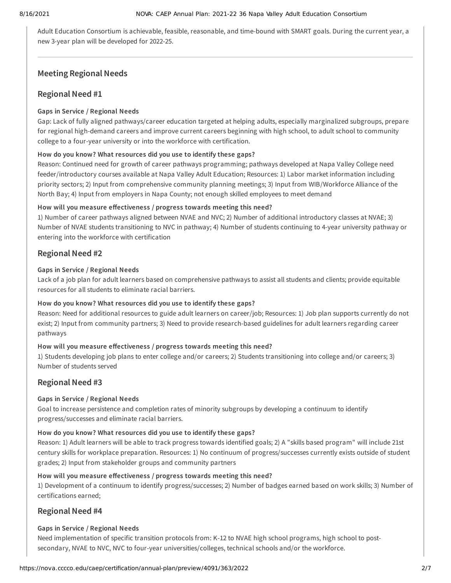Adult Education Consortium is achievable, feasible, reasonable, and time-bound with SMART goals. During the current year, a new 3-year plan will be developed for 2022-25.

# **Meeting Regional Needs**

# **Regional Need #1**

# **Gaps in Service / Regional Needs**

Gap: Lack of fully aligned pathways/career education targeted at helping adults, especially marginalized subgroups, prepare for regional high-demand careers and improve current careers beginning with high school, to adult school to community college to a four-year university or into the workforce with certification.

# **How do you know? What resources did you use to identify these gaps?**

Reason: Continued need for growth of career pathways programming; pathways developed at Napa Valley College need feeder/introductory courses available at Napa Valley Adult Education; Resources: 1) Labor market information including priority sectors; 2) Input from comprehensive community planning meetings; 3) Input from WIB/Workforce Alliance of the North Bay; 4) Input from employers in Napa County; not enough skilled employees to meet demand

# **How will you measure effectiveness / progress towards meeting this need?**

1) Number of career pathways aligned between NVAE and NVC; 2) Number of additional introductory classes at NVAE; 3) Number of NVAE students transitioning to NVC in pathway; 4) Number of students continuing to 4-year university pathway or entering into the workforce with certification

# **Regional Need #2**

# **Gaps in Service / Regional Needs**

Lack of a job plan for adult learners based on comprehensive pathways to assist all students and clients; provide equitable resources for all students to eliminate racial barriers.

# **How do you know? What resources did you use to identify these gaps?**

Reason: Need for additional resources to guide adult learners on career/job; Resources: 1) Job plan supports currently do not exist; 2) Input from community partners; 3) Need to provide research-based guidelines for adult learners regarding career pathways

# **How will you measure effectiveness / progress towards meeting this need?**

1) Students developing job plans to enter college and/or careers; 2) Students transitioning into college and/or careers; 3) Number of students served

# **Regional Need #3**

# **Gaps in Service / Regional Needs**

Goal to increase persistence and completion rates of minority subgroups by developing a continuum to identify progress/successes and eliminate racial barriers.

# **How do you know? What resources did you use to identify these gaps?**

Reason: 1) Adult learners will be able to track progress towards identified goals; 2) A "skills based program" will include 21st century skills for workplace preparation. Resources: 1) No continuum of progress/successes currently exists outside of student grades; 2) Input from stakeholder groups and community partners

# **How will you measure effectiveness / progress towards meeting this need?**

1) Development of a continuum to identify progress/successes; 2) Number of badges earned based on work skills; 3) Number of certifications earned;

# **Regional Need #4**

# **Gaps in Service / Regional Needs**

Need implementation of specific transition protocols from: K-12 to NVAE high school programs, high school to postsecondary, NVAE to NVC, NVC to four-year universities/colleges, technical schools and/or the workforce.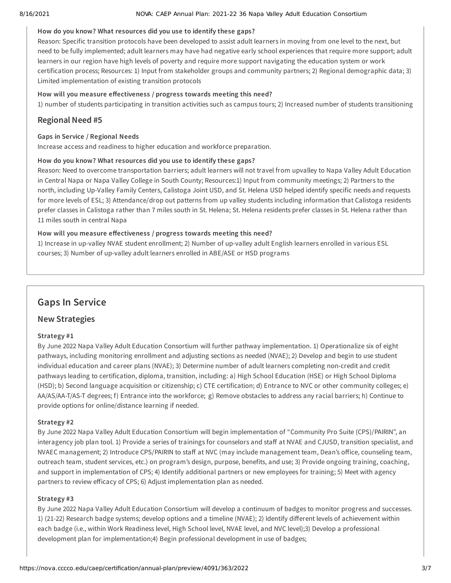#### 8/16/2021 NOVA: CAEP Annual Plan: 2021-22 36 Napa Valley Adult Education Consortium

# **How do you know? What resources did you use to identify these gaps?**

Reason: Specific transition protocols have been developed to assist adult learners in moving from one level to the next, but need to be fully implemented; adult learners may have had negative early school experiences that require more support; adult learners in our region have high levels of poverty and require more support navigating the education system or work certification process; Resources: 1) Input from stakeholder groups and community partners; 2) Regional demographic data; 3) Limited implementation of existing transition protocols

# **How will you measure effectiveness / progress towards meeting this need?**

1) number of students participating in transition activities such as campus tours; 2) Increased number of students transitioning

# **Regional Need #5**

# **Gaps in Service / Regional Needs**

Increase access and readiness to higher education and workforce preparation.

# **How do you know? What resources did you use to identify these gaps?**

Reason: Need to overcome transportation barriers; adult learners will not travel from upvalley to Napa Valley Adult Education in Central Napa or Napa Valley College in South County; Resources:1) Input from community meetings; 2) Partners to the north, including Up-Valley Family Centers, Calistoga Joint USD, and St. Helena USD helped identify specific needs and requests for more levels of ESL; 3) Attendance/drop out patterns from up valley students including information that Calistoga residents prefer classes in Calistoga rather than 7 miles south in St. Helena; St. Helena residents prefer classes in St. Helena rather than 11 miles south in central Napa

# **How will you measure effectiveness / progress towards meeting this need?**

1) Increase in up-valley NVAE student enrollment; 2) Number of up-valley adult English learners enrolled in various ESL courses; 3) Number of up-valley adult learners enrolled in ABE/ASE or HSD programs

# **Gaps In Service**

# **New Strategies**

# **Strategy #1**

By June 2022 Napa Valley Adult Education Consortium will further pathway implementation. 1) Operationalize six of eight pathways, including monitoring enrollment and adjusting sections as needed (NVAE); 2) Develop and begin to use student individual education and career plans (NVAE); 3) Determine number of adult learners completing non-credit and credit pathways leading to certification, diploma, transition, including: a) High School Education (HSE) or High School Diploma (HSD); b) Second language acquisition or citizenship; c) CTE certification; d) Entrance to NVC or other community colleges; e) AA/AS/AA-T/AS-T degrees; f) Entrance into the workforce; g) Remove obstacles to address any racial barriers; h) Continue to provide options for online/distance learning if needed.

# **Strategy #2**

By June 2022 Napa Valley Adult Education Consortium will begin implementation of "Community Pro Suite (CPS)/PAIRIN", an interagency job plan tool. 1) Provide a series of trainings for counselors and staff at NVAE and CJUSD, transition specialist, and NVAEC management; 2) Introduce CPS/PAIRIN to staff at NVC (may include management team, Dean's office, counseling team, outreach team, student services, etc.) on program's design, purpose, benefits, and use; 3) Provide ongoing training, coaching, and support in implementation of CPS; 4) Identify additional partners or new employees for training; 5) Meet with agency partners to review efficacy of CPS; 6) Adjust implementation plan as needed.

# **Strategy #3**

By June 2022 Napa Valley Adult Education Consortium will develop a continuum of badges to monitor progress and successes. 1) (21-22) Research badge systems; develop options and a timeline (NVAE); 2) Identify different levels of achievement within each badge (i.e., within Work Readiness level, High School level, NVAE level, and NVC level);3) Develop a professional development plan for implementation;4) Begin professional development in use of badges;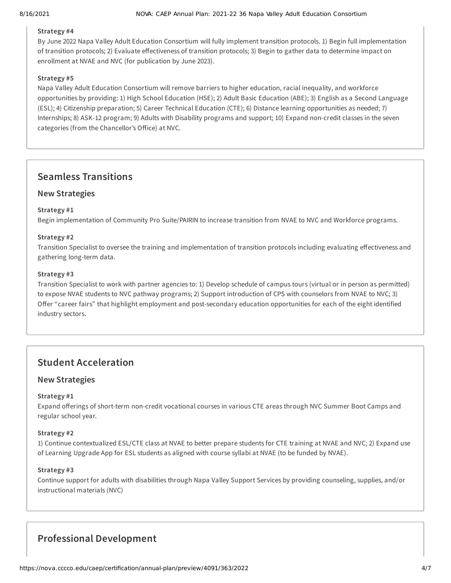# **Strategy #4**

By June 2022 Napa Valley Adult Education Consortium will fully implement transition protocols. 1) Begin full implementation of transition protocols; 2) Evaluate effectiveness of transition protocols; 3) Begin to gather data to determine impact on enrollment at NVAE and NVC (for publication by June 2023).

# **Strategy #5**

Napa Valley Adult Education Consortium will remove barriers to higher education, racial inequality, and workforce opportunities by providing: 1) High School Education (HSE); 2) Adult Basic Education (ABE); 3) English as a Second Language (ESL); 4) Citizenship preparation; 5) Career Technical Education (CTE); 6) Distance learning opportunities as needed; 7) Internships; 8) ASK-12 program; 9) Adults with Disability programs and support; 10) Expand non-credit classes in the seven categories (from the Chancellor's Office) at NVC.

# **Seamless Transitions**

# **New Strategies**

# **Strategy #1**

Begin implementation of Community Pro Suite/PAIRIN to increase transition from NVAE to NVC and Workforce programs.

# **Strategy #2**

Transition Specialist to oversee the training and implementation of transition protocols including evaluating effectiveness and gathering long-term data.

# **Strategy #3**

Transition Specialist to work with partner agencies to: 1) Develop schedule of campus tours (virtual or in person as permitted) to expose NVAE students to NVC pathway programs; 2) Support introduction of CPS with counselors from NVAE to NVC; 3) Offer "career fairs" that highlight employment and post-secondary education opportunities for each of the eight identified industry sectors.

# **Student Acceleration**

# **New Strategies**

# **Strategy #1**

Expand offerings of short-term non-credit vocational courses in various CTE areas through NVC Summer Boot Camps and regular school year.

# **Strategy #2**

1) Continue contextualized ESL/CTE class at NVAE to better prepare students for CTE training at NVAE and NVC; 2) Expand use of Learning Upgrade App for ESL students as aligned with course syllabi at NVAE (to be funded by NVAE).

# **Strategy #3**

Continue support for adults with disabilities through Napa Valley Support Services by providing counseling, supplies, and/or instructional materials (NVC)

# **Professional Development**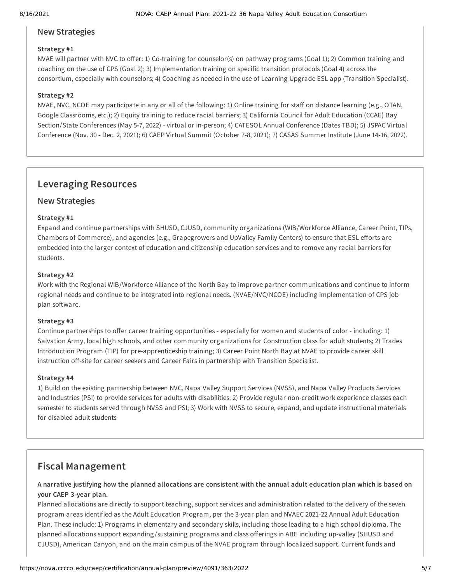# **New Strategies**

# **Strategy #1**

NVAE will partner with NVC to offer: 1) Co-training for counselor(s) on pathway programs (Goal 1); 2) Common training and coaching on the use of CPS (Goal 2); 3) Implementation training on specific transition protocols (Goal 4) across the consortium, especially with counselors; 4) Coaching as needed in the use of Learning Upgrade ESL app (Transition Specialist).

# **Strategy #2**

NVAE, NVC, NCOE may participate in any or all of the following: 1) Online training for staff on distance learning (e.g., OTAN, Google Classrooms, etc.); 2) Equity training to reduce racial barriers; 3) California Council for Adult Education (CCAE) Bay Section/State Conferences (May 5-7, 2022) - virtual or in-person; 4) CATESOL Annual Conference (Dates TBD); 5) JSPAC Virtual Conference (Nov. 30 - Dec. 2, 2021); 6) CAEP Virtual Summit (October 7-8, 2021); 7) CASAS Summer Institute (June 14-16, 2022).

# **Leveraging Resources**

# **New Strategies**

# **Strategy #1**

Expand and continue partnerships with SHUSD, CJUSD, community organizations (WIB/Workforce Alliance, Career Point, TIPs, Chambers of Commerce), and agencies (e.g., Grapegrowers and UpValley Family Centers) to ensure that ESL efforts are embedded into the larger context of education and citizenship education services and to remove any racial barriers for students.

# **Strategy #2**

Work with the Regional WIB/Workforce Alliance of the North Bay to improve partner communications and continue to inform regional needs and continue to be integrated into regional needs. (NVAE/NVC/NCOE) including implementation of CPS job plan software.

# **Strategy #3**

Continue partnerships to offer career training opportunities - especially for women and students of color - including: 1) Salvation Army, local high schools, and other community organizations for Construction class for adult students; 2) Trades Introduction Program (TIP) for pre-apprenticeship training; 3) Career Point North Bay at NVAE to provide career skill instruction off-site for career seekers and Career Fairs in partnership with Transition Specialist.

# **Strategy #4**

1) Build on the existing partnership between NVC, Napa Valley Support Services (NVSS), and Napa Valley Products Services and Industries (PSI) to provide services for adults with disabilities; 2) Provide regular non-credit work experience classes each semester to students served through NVSS and PSI; 3) Work with NVSS to secure, expand, and update instructional materials for disabled adult students

# **Fiscal Management**

A narrative justifying how the planned allocations are consistent with the annual adult education plan which is based on **your CAEP 3-year plan.**

Planned allocations are directly to support teaching, support services and administration related to the delivery of the seven program areas identified as the Adult Education Program, per the 3-year plan and NVAEC 2021-22 Annual Adult Education Plan. These include: 1) Programs in elementary and secondary skills, including those leading to a high school diploma. The planned allocations support expanding /sustaining programs and class offerings in ABE including up-valley (SHUSD and CJUSD), American Canyon, and on the main campus of the NVAE program through localized support. Current funds and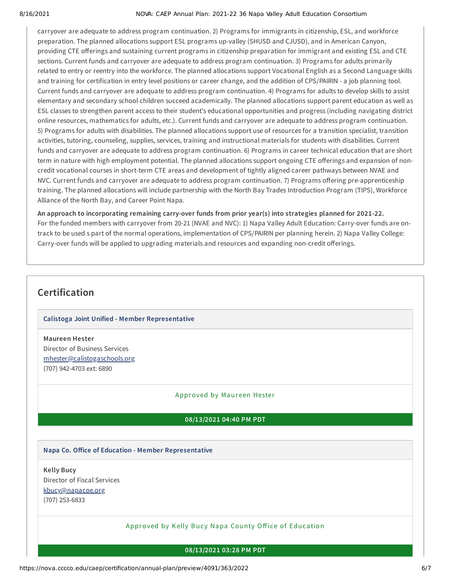#### 8/16/2021 NOVA: CAEP Annual Plan: 2021-22 36 Napa Valley Adult Education Consortium

carryover are adequate to address program continuation. 2) Programs for immigrants in citizenship, ESL, and workforce preparation. The planned allocations support ESL programs up-valley (SHUSD and CJUSD), and in American Canyon, providing CTE offerings and sustaining current programs in citizenship preparation for immigrant and existing ESL and CTE sections. Current funds and carryover are adequate to address program continuation. 3) Programs for adults primarily related to entry or reentry into the workforce. The planned allocations support Vocational English as a Second Language skills and training for certification in entry level positions or career change, and the addition of CPS/PAIRIN - a job planning tool. Current funds and carryover are adequate to address program continuation. 4) Programs for adults to develop skills to assist elementary and secondary school children succeed academically. The planned allocations support parent education as well as ESL classes to strengthen parent access to their student's educational opportunities and progress (including navigating district online resources, mathematics for adults, etc.). Current funds and carryover are adequate to address program continuation. 5) Programs for adults with disabilities. The planned allocations support use of resources for a transition specialist, transition activities, tutoring, counseling, supplies, services, training and instructional materials for students with disabilities. Current funds and carryover are adequate to address program continuation. 6) Programs in career technical education that are short term in nature with high employment potential. The planned allocations support ongoing CTE offerings and expansion of noncredit vocational courses in short-term CTE areas and development of tightly aligned career pathways between NVAE and NVC. Current funds and carryover are adequate to address program continuation. 7) Programs offering pre-apprenticeship training. The planned allocations will include partnership with the North Bay Trades Introduction Program (TIPS), Workforce Alliance of the North Bay, and Career Point Napa.

**An approach to incorporating remaining carry-over funds from prior year(s) into strategies planned for 2021-22.** For the funded members with carryover from 20-21 (NVAE and NVC): 1) Napa Valley Adult Education: Carry-over funds are ontrack to be used s part of the normal operations, implementation of CPS/PAIRIN per planning herein. 2) Napa Valley College: Carry-over funds will be applied to upgrading materials and resources and expanding non-credit offerings.

# **Certification**

# **Calistoga Joint Unified - Member Representative**

**Maureen Hester** Director of Business Services [mhester@calistogaschools.org](mailto:mhester@calistogaschools.org) (707) 942-4703 ext: 6890

# Approved by Maur een Hester

#### **08/13/2021 04:40 PM PDT**

#### **Napa Co. Office of Education - Member Representative**

**Kelly Bucy** Director of Fiscal Services [kbucy@napacoe.org](mailto:kbucy@napacoe.org) (707) 253-6833

#### Approved by Kelly Bucy Napa County Office of Educa tion

#### **08/13/2021 03:28 PM PDT**